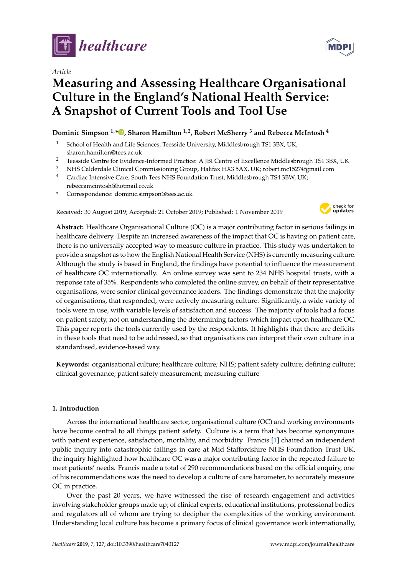

*Article*

# **Measuring and Assessing Healthcare Organisational Culture in the England's National Health Service: A Snapshot of Current Tools and Tool Use**

# **Dominic Simpson 1,\* [,](https://orcid.org/0000-0001-5219-1302) Sharon Hamilton 1,2, Robert McSherry <sup>3</sup> and Rebecca McIntosh <sup>4</sup>**

- <sup>1</sup> School of Health and Life Sciences, Teesside University, Middlesbrough TS1 3BX, UK; sharon.hamilton@tees.ac.uk
- <sup>2</sup> Teesside Centre for Evidence-Informed Practice: A JBI Centre of Excellence Middlesbrough TS1 3BX, UK
- <sup>3</sup> NHS Calderdale Clinical Commissioning Group, Halifax HX3 5AX, UK; robert.mc1527@gmail.com
- Cardiac Intensive Care, South Tees NHS Foundation Trust, Middlesbrough TS4 3BW, UK; rebeccamcintosh@hotmail.co.uk
- **\*** Correspondence: dominic.simpson@tees.ac.uk

Received: 30 August 2019; Accepted: 21 October 2019; Published: 1 November 2019



**Abstract:** Healthcare Organisational Culture (OC) is a major contributing factor in serious failings in healthcare delivery. Despite an increased awareness of the impact that OC is having on patient care, there is no universally accepted way to measure culture in practice. This study was undertaken to provide a snapshot as to how the English National Health Service (NHS) is currently measuring culture. Although the study is based in England, the findings have potential to influence the measurement of healthcare OC internationally. An online survey was sent to 234 NHS hospital trusts, with a response rate of 35%. Respondents who completed the online survey, on behalf of their representative organisations, were senior clinical governance leaders. The findings demonstrate that the majority of organisations, that responded, were actively measuring culture. Significantly, a wide variety of tools were in use, with variable levels of satisfaction and success. The majority of tools had a focus on patient safety, not on understanding the determining factors which impact upon healthcare OC. This paper reports the tools currently used by the respondents. It highlights that there are deficits in these tools that need to be addressed, so that organisations can interpret their own culture in a standardised, evidence-based way.

**Keywords:** organisational culture; healthcare culture; NHS; patient safety culture; defining culture; clinical governance; patient safety measurement; measuring culture

# **1. Introduction**

Across the international healthcare sector, organisational culture (OC) and working environments have become central to all things patient safety. Culture is a term that has become synonymous with patient experience, satisfaction, mortality, and morbidity. Francis [\[1\]](#page-8-0) chaired an independent public inquiry into catastrophic failings in care at Mid Staffordshire NHS Foundation Trust UK, the inquiry highlighted how healthcare OC was a major contributing factor in the repeated failure to meet patients' needs. Francis made a total of 290 recommendations based on the official enquiry, one of his recommendations was the need to develop a culture of care barometer, to accurately measure OC in practice.

Over the past 20 years, we have witnessed the rise of research engagement and activities involving stakeholder groups made up; of clinical experts, educational institutions, professional bodies and regulators all of whom are trying to decipher the complexities of the working environment. Understanding local culture has become a primary focus of clinical governance work internationally,

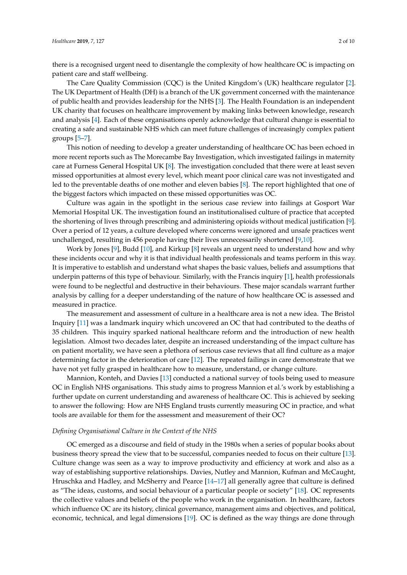there is a recognised urgent need to disentangle the complexity of how healthcare OC is impacting on patient care and staff wellbeing.

The Care Quality Commission (CQC) is the United Kingdom's (UK) healthcare regulator [\[2\]](#page-8-1). The UK Department of Health (DH) is a branch of the UK government concerned with the maintenance of public health and provides leadership for the NHS [\[3\]](#page-8-2). The Health Foundation is an independent UK charity that focuses on healthcare improvement by making links between knowledge, research and analysis [\[4\]](#page-8-3). Each of these organisations openly acknowledge that cultural change is essential to creating a safe and sustainable NHS which can meet future challenges of increasingly complex patient groups  $[5-7]$  $[5-7]$ .

This notion of needing to develop a greater understanding of healthcare OC has been echoed in more recent reports such as The Morecambe Bay Investigation, which investigated failings in maternity care at Furness General Hospital UK [\[8\]](#page-8-6). The investigation concluded that there were at least seven missed opportunities at almost every level, which meant poor clinical care was not investigated and led to the preventable deaths of one mother and eleven babies [\[8\]](#page-8-6). The report highlighted that one of the biggest factors which impacted on these missed opportunities was OC.

Culture was again in the spotlight in the serious case review into failings at Gosport War Memorial Hospital UK. The investigation found an institutionalised culture of practice that accepted the shortening of lives through prescribing and administering opioids without medical justification [\[9\]](#page-8-7). Over a period of 12 years, a culture developed where concerns were ignored and unsafe practices went unchallenged, resulting in 456 people having their lives unnecessarily shortened [\[9,](#page-8-7)[10\]](#page-8-8).

Work by Jones [\[9\]](#page-8-7), Budd [\[10\]](#page-8-8), and Kirkup [\[8\]](#page-8-6) reveals an urgent need to understand how and why these incidents occur and why it is that individual health professionals and teams perform in this way. It is imperative to establish and understand what shapes the basic values, beliefs and assumptions that underpin patterns of this type of behaviour. Similarly, with the Francis inquiry [\[1\]](#page-8-0), health professionals were found to be neglectful and destructive in their behaviours. These major scandals warrant further analysis by calling for a deeper understanding of the nature of how healthcare OC is assessed and measured in practice.

The measurement and assessment of culture in a healthcare area is not a new idea. The Bristol Inquiry [\[11\]](#page-8-9) was a landmark inquiry which uncovered an OC that had contributed to the deaths of 35 children. This inquiry sparked national healthcare reform and the introduction of new health legislation. Almost two decades later, despite an increased understanding of the impact culture has on patient mortality, we have seen a plethora of serious case reviews that all find culture as a major determining factor in the deterioration of care [\[12\]](#page-8-10). The repeated failings in care demonstrate that we have not yet fully grasped in healthcare how to measure, understand, or change culture.

Mannion, Konteh, and Davies [\[13\]](#page-8-11) conducted a national survey of tools being used to measure OC in English NHS organisations. This study aims to progress Mannion et al.'s work by establishing a further update on current understanding and awareness of healthcare OC. This is achieved by seeking to answer the following: How are NHS England trusts currently measuring OC in practice, and what tools are available for them for the assessment and measurement of their OC?

#### *Defining Organisational Culture in the Context of the NHS*

OC emerged as a discourse and field of study in the 1980s when a series of popular books about business theory spread the view that to be successful, companies needed to focus on their culture [\[13\]](#page-8-11). Culture change was seen as a way to improve productivity and efficiency at work and also as a way of establishing supportive relationships. Davies, Nutley and Mannion, Kufman and McCaught, Hruschka and Hadley, and McSherry and Pearce [\[14–](#page-8-12)[17\]](#page-8-13) all generally agree that culture is defined as "The ideas, customs, and social behaviour of a particular people or society" [\[18\]](#page-8-14). OC represents the collective values and beliefs of the people who work in the organisation. In healthcare, factors which influence OC are its history, clinical governance, management aims and objectives, and political, economic, technical, and legal dimensions [\[19\]](#page-8-15). OC is defined as the way things are done through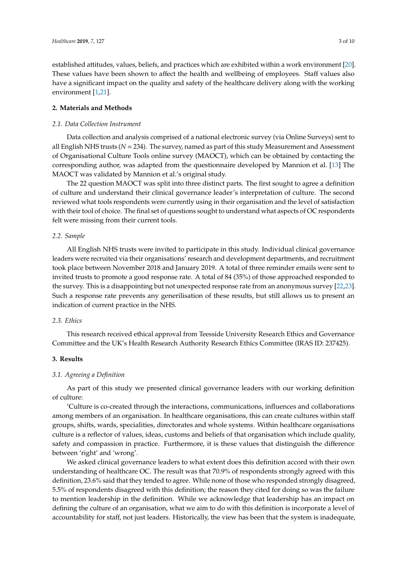established attitudes, values, beliefs, and practices which are exhibited within a work environment [\[20\]](#page-9-0). These values have been shown to affect the health and wellbeing of employees. Staff values also have a significant impact on the quality and safety of the healthcare delivery along with the working environment [\[1,](#page-8-0)[21\]](#page-9-1).

## **2. Materials and Methods**

#### *2.1. Data Collection Instrument*

Data collection and analysis comprised of a national electronic survey (via Online Surveys) sent to all English NHS trusts ( $N = 234$ ). The survey, named as part of this study Measurement and Assessment of Organisational Culture Tools online survey (MAOCT), which can be obtained by contacting the corresponding author, was adapted from the questionnaire developed by Mannion et al. [\[13\]](#page-8-11) The MAOCT was validated by Mannion et al.'s original study.

The 22 question MAOCT was split into three distinct parts. The first sought to agree a definition of culture and understand their clinical governance leader's interpretation of culture. The second reviewed what tools respondents were currently using in their organisation and the level of satisfaction with their tool of choice. The final set of questions sought to understand what aspects of OC respondents felt were missing from their current tools.

## *2.2. Sample*

All English NHS trusts were invited to participate in this study. Individual clinical governance leaders were recruited via their organisations' research and development departments, and recruitment took place between November 2018 and January 2019. A total of three reminder emails were sent to invited trusts to promote a good response rate. A total of 84 (35%) of those approached responded to the survey. This is a disappointing but not unexpected response rate from an anonymous survey [\[22](#page-9-2)[,23\]](#page-9-3). Such a response rate prevents any generilisation of these results, but still allows us to present an indication of current practice in the NHS.

#### *2.3. Ethics*

This research received ethical approval from Teesside University Research Ethics and Governance Committee and the UK's Health Research Authority Research Ethics Committee (IRAS ID: 237425).

#### **3. Results**

#### *3.1. Agreeing a Definition*

As part of this study we presented clinical governance leaders with our working definition of culture:

'Culture is co-created through the interactions, communications, influences and collaborations among members of an organisation. In healthcare organisations, this can create cultures within staff groups, shifts, wards, specialities, directorates and whole systems. Within healthcare organisations culture is a reflector of values, ideas, customs and beliefs of that organisation which include quality, safety and compassion in practice. Furthermore, it is these values that distinguish the difference between 'right' and 'wrong'.

We asked clinical governance leaders to what extent does this definition accord with their own understanding of healthcare OC. The result was that 70.9% of respondents strongly agreed with this definition, 23.6% said that they tended to agree. While none of those who responded strongly disagreed, 5.5% of respondents disagreed with this definition; the reason they cited for doing so was the failure to mention leadership in the definition. While we acknowledge that leadership has an impact on defining the culture of an organisation, what we aim to do with this definition is incorporate a level of accountability for staff, not just leaders. Historically, the view has been that the system is inadequate,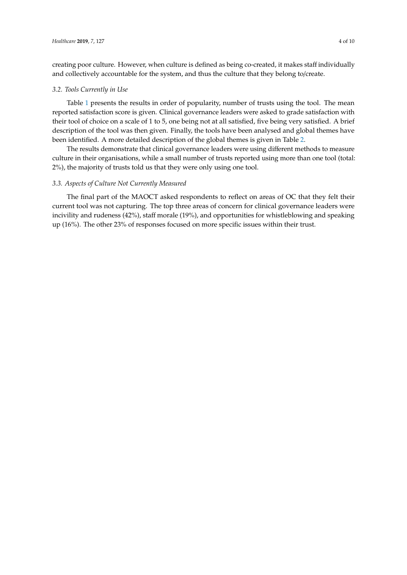creating poor culture. However, when culture is defined as being co-created, it makes staff individually and collectively accountable for the system, and thus the culture that they belong to/create.

#### *3.2. Tools Currently in Use*

Table [1](#page-4-0) presents the results in order of popularity, number of trusts using the tool. The mean reported satisfaction score is given. Clinical governance leaders were asked to grade satisfaction with their tool of choice on a scale of 1 to 5, one being not at all satisfied, five being very satisfied. A brief description of the tool was then given. Finally, the tools have been analysed and global themes have been identified. A more detailed description of the global themes is given in Table [2.](#page-6-0)

The results demonstrate that clinical governance leaders were using different methods to measure culture in their organisations, while a small number of trusts reported using more than one tool (total: 2%), the majority of trusts told us that they were only using one tool.

#### *3.3. Aspects of Culture Not Currently Measured*

The final part of the MAOCT asked respondents to reflect on areas of OC that they felt their current tool was not capturing. The top three areas of concern for clinical governance leaders were incivility and rudeness (42%), staff morale (19%), and opportunities for whistleblowing and speaking up (16%). The other 23% of responses focused on more specific issues within their trust.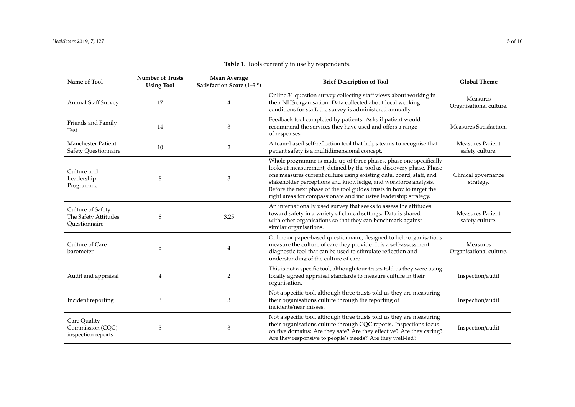<span id="page-4-0"></span>

| Name of Tool                                                | <b>Number of Trusts</b><br><b>Using Tool</b> | Mean Average<br>Satisfaction Score (1-5*) | <b>Brief Description of Tool</b>                                                                                                                                                                                                                                                                                                                                                                                               | <b>Global Theme</b>                        |
|-------------------------------------------------------------|----------------------------------------------|-------------------------------------------|--------------------------------------------------------------------------------------------------------------------------------------------------------------------------------------------------------------------------------------------------------------------------------------------------------------------------------------------------------------------------------------------------------------------------------|--------------------------------------------|
| <b>Annual Staff Survey</b>                                  | 17                                           | 4                                         | Online 31 question survey collecting staff views about working in<br>their NHS organisation. Data collected about local working<br>conditions for staff, the survey is administered annually.                                                                                                                                                                                                                                  | Measures<br>Organisational culture.        |
| Friends and Family<br>Test                                  | 14                                           | 3                                         | Feedback tool completed by patients. Asks if patient would<br>recommend the services they have used and offers a range<br>of responses.                                                                                                                                                                                                                                                                                        | Measures Satisfaction.                     |
| Manchester Patient<br>Safety Questionnaire                  | 10                                           | 2                                         | A team-based self-reflection tool that helps teams to recognise that<br>patient safety is a multidimensional concept.                                                                                                                                                                                                                                                                                                          | <b>Measures Patient</b><br>safety culture. |
| Culture and<br>Leadership<br>Programme                      | $\,$ 8 $\,$                                  | 3                                         | Whole programme is made up of three phases, phase one specifically<br>looks at measurement, defined by the tool as discovery phase. Phase<br>one measures current culture using existing data, board, staff, and<br>stakeholder perceptions and knowledge, and workforce analysis.<br>Before the next phase of the tool guides trusts in how to target the<br>right areas for compassionate and inclusive leadership strategy. | Clinical governance<br>strategy.           |
| Culture of Safety:<br>The Safety Attitudes<br>Questionnaire | 8                                            | 3.25                                      | An internationally used survey that seeks to assess the attitudes<br>toward safety in a variety of clinical settings. Data is shared<br>with other organisations so that they can benchmark against<br>similar organisations.                                                                                                                                                                                                  | <b>Measures Patient</b><br>safety culture. |
| Culture of Care<br>barometer                                | 5                                            | 4                                         | Online or paper-based questionnaire, designed to help organisations<br>measure the culture of care they provide. It is a self-assessment<br>diagnostic tool that can be used to stimulate reflection and<br>understanding of the culture of care.                                                                                                                                                                              | Measures<br>Organisational culture.        |
| Audit and appraisal                                         | 4                                            | $\overline{2}$                            | This is not a specific tool, although four trusts told us they were using<br>locally agreed appraisal standards to measure culture in their<br>organisation.                                                                                                                                                                                                                                                                   | Inspection/audit                           |
| Incident reporting                                          | 3                                            | 3                                         | Not a specific tool, although three trusts told us they are measuring<br>their organisations culture through the reporting of<br>incidents/near misses.                                                                                                                                                                                                                                                                        | Inspection/audit                           |
| Care Quality<br>Commission (CQC)<br>inspection reports      | 3                                            | 3                                         | Not a specific tool, although three trusts told us they are measuring<br>their organisations culture through CQC reports. Inspections focus<br>on five domains: Are they safe? Are they effective? Are they caring?<br>Are they responsive to people's needs? Are they well-led?                                                                                                                                               | Inspection/audit                           |

# **Table 1.** Tools currently in use by respondents.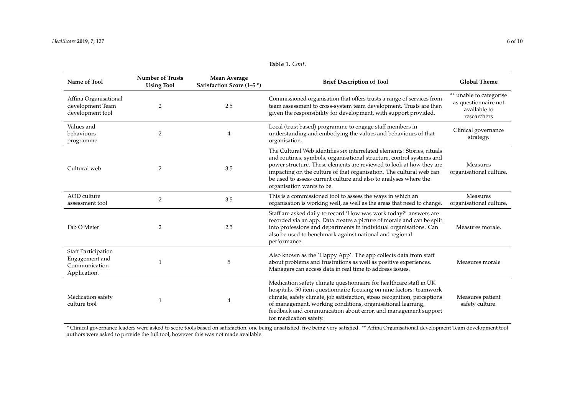| Name of Tool                                                                  | <b>Number of Trusts</b><br><b>Using Tool</b> | Mean Average<br>Satisfaction Score (1-5*) | <b>Brief Description of Tool</b>                                                                                                                                                                                                                                                                                                                                                                | <b>Global Theme</b>                                                            |
|-------------------------------------------------------------------------------|----------------------------------------------|-------------------------------------------|-------------------------------------------------------------------------------------------------------------------------------------------------------------------------------------------------------------------------------------------------------------------------------------------------------------------------------------------------------------------------------------------------|--------------------------------------------------------------------------------|
| Affina Organisational<br>development Team<br>development tool                 | 2                                            | 2.5                                       | Commissioned organisation that offers trusts a range of services from<br>team assessment to cross-system team development. Trusts are then<br>given the responsibility for development, with support provided.                                                                                                                                                                                  | ** unable to categorise<br>as questionnaire not<br>available to<br>researchers |
| Values and<br>behaviours<br>programme                                         | 2                                            | 4                                         | Local (trust based) programme to engage staff members in<br>understanding and embodying the values and behaviours of that<br>organisation.                                                                                                                                                                                                                                                      | Clinical governance<br>strategy.                                               |
| Cultural web                                                                  | 2                                            | 3.5                                       | The Cultural Web identifies six interrelated elements: Stories, rituals<br>and routines, symbols, organisational structure, control systems and<br>power structure. These elements are reviewed to look at how they are<br>impacting on the culture of that organisation. The cultural web can<br>be used to assess current culture and also to analyses where the<br>organisation wants to be. | Measures<br>organisational culture.                                            |
| AOD culture<br>assessment tool                                                | 2                                            | 3.5                                       | This is a commissioned tool to assess the ways in which an<br>organisation is working well, as well as the areas that need to change.                                                                                                                                                                                                                                                           | Measures<br>organisational culture.                                            |
| Fab O Meter                                                                   | 2                                            | 2.5                                       | Staff are asked daily to record 'How was work today?' answers are<br>recorded via an app. Data creates a picture of morale and can be split<br>into professions and departments in individual organisations. Can<br>also be used to benchmark against national and regional<br>performance.                                                                                                     | Measures morale.                                                               |
| <b>Staff Participation</b><br>Engagement and<br>Communication<br>Application. |                                              | 5                                         | Also known as the 'Happy App'. The app collects data from staff<br>about problems and frustrations as well as positive experiences.<br>Managers can access data in real time to address issues.                                                                                                                                                                                                 | Measures morale                                                                |
| Medication safety<br>culture tool                                             |                                              | 4                                         | Medication safety climate questionnaire for healthcare staff in UK<br>hospitals. 50 item questionnaire focusing on nine factors: teamwork<br>climate, safety climate, job satisfaction, stress recognition, perceptions<br>of management, working conditions, organisational learning,<br>feedback and communication about error, and management support<br>for medication safety.              | Measures patient<br>safety culture.                                            |

**Table 1.** *Cont*.

\* Clinical governance leaders were asked to score tools based on satisfaction, one being unsatisfied, five being very satisfied. \*\* Affina Organisational development Team development tool authors were asked to provide the full tool, however this was not made available.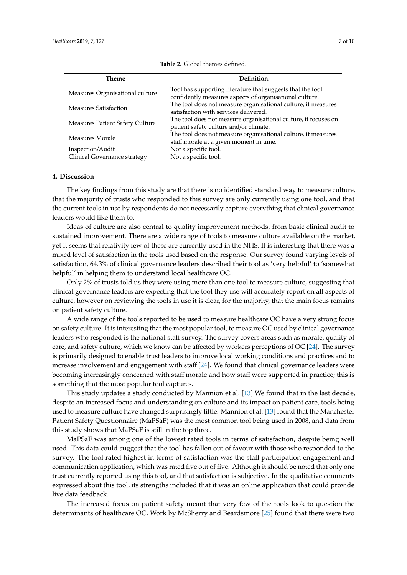| ÷ | $^{\prime}$ ) T<br>۰,<br>× | I |
|---|----------------------------|---|
|   |                            |   |

<span id="page-6-0"></span>

| Theme                                  | Definition.                                                                                                           |
|----------------------------------------|-----------------------------------------------------------------------------------------------------------------------|
| Measures Organisational culture        | Tool has supporting literature that suggests that the tool<br>confidently measures aspects of organisational culture. |
| <b>Measures Satisfaction</b>           | The tool does not measure organisational culture, it measures<br>satisfaction with services delivered.                |
| <b>Measures Patient Safety Culture</b> | The tool does not measure organisational culture, it focuses on<br>patient safety culture and/or climate.             |
| Measures Morale                        | The tool does not measure organisational culture, it measures<br>staff morale at a given moment in time.              |
| Inspection/Audit                       | Not a specific tool.                                                                                                  |
| Clinical Governance strategy           | Not a specific tool.                                                                                                  |

**Table 2.** Global themes defined.

## **4. Discussion**

The key findings from this study are that there is no identified standard way to measure culture, that the majority of trusts who responded to this survey are only currently using one tool, and that the current tools in use by respondents do not necessarily capture everything that clinical governance leaders would like them to.

Ideas of culture are also central to quality improvement methods, from basic clinical audit to sustained improvement. There are a wide range of tools to measure culture available on the market, yet it seems that relativity few of these are currently used in the NHS. It is interesting that there was a mixed level of satisfaction in the tools used based on the response. Our survey found varying levels of satisfaction, 64.3% of clinical governance leaders described their tool as 'very helpful' to 'somewhat helpful' in helping them to understand local healthcare OC.

Only 2% of trusts told us they were using more than one tool to measure culture, suggesting that clinical governance leaders are expecting that the tool they use will accurately report on all aspects of culture, however on reviewing the tools in use it is clear, for the majority, that the main focus remains on patient safety culture.

A wide range of the tools reported to be used to measure healthcare OC have a very strong focus on safety culture. It is interesting that the most popular tool, to measure OC used by clinical governance leaders who responded is the national staff survey. The survey covers areas such as morale, quality of care, and safety culture, which we know can be affected by workers perceptions of OC [\[24\]](#page-9-4). The survey is primarily designed to enable trust leaders to improve local working conditions and practices and to increase involvement and engagement with staff [\[24\]](#page-9-4). We found that clinical governance leaders were becoming increasingly concerned with staff morale and how staff were supported in practice; this is something that the most popular tool captures.

This study updates a study conducted by Mannion et al. [\[13\]](#page-8-11) We found that in the last decade, despite an increased focus and understanding on culture and its impact on patient care, tools being used to measure culture have changed surprisingly little. Mannion et al. [\[13\]](#page-8-11) found that the Manchester Patient Safety Questionnaire (MaPSaF) was the most common tool being used in 2008, and data from this study shows that MaPSaF is still in the top three.

MaPSaF was among one of the lowest rated tools in terms of satisfaction, despite being well used. This data could suggest that the tool has fallen out of favour with those who responded to the survey. The tool rated highest in terms of satisfaction was the staff participation engagement and communication application, which was rated five out of five. Although it should be noted that only one trust currently reported using this tool, and that satisfaction is subjective. In the qualitative comments expressed about this tool, its strengths included that it was an online application that could provide live data feedback.

The increased focus on patient safety meant that very few of the tools look to question the determinants of healthcare OC. Work by McSherry and Beardsmore [\[25\]](#page-9-5) found that there were two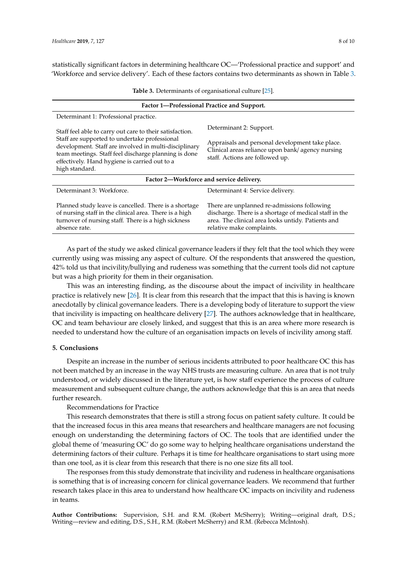statistically significant factors in determining healthcare OC—'Professional practice and support' and 'Workforce and service delivery'. Each of these factors contains two determinants as shown in Table [3.](#page-7-0)

<span id="page-7-0"></span>

| Factor 1—Professional Practice and Support.                                                                                                                                                                                                                                                   |                                                                                                                                                                                          |  |  |  |
|-----------------------------------------------------------------------------------------------------------------------------------------------------------------------------------------------------------------------------------------------------------------------------------------------|------------------------------------------------------------------------------------------------------------------------------------------------------------------------------------------|--|--|--|
| Determinant 1: Professional practice.                                                                                                                                                                                                                                                         |                                                                                                                                                                                          |  |  |  |
| Staff feel able to carry out care to their satisfaction.<br>Staff are supported to undertake professional<br>development. Staff are involved in multi-disciplinary<br>team meetings. Staff feel discharge planning is done<br>effectively. Hand hygiene is carried out to a<br>high standard. | Determinant 2: Support.<br>Appraisals and personal development take place.<br>Clinical areas reliance upon bank/ agency nursing<br>staff. Actions are followed up.                       |  |  |  |
| Factor 2—Workforce and service delivery.                                                                                                                                                                                                                                                      |                                                                                                                                                                                          |  |  |  |
| Determinant 3: Workforce.                                                                                                                                                                                                                                                                     | Determinant 4: Service delivery.                                                                                                                                                         |  |  |  |
| Planned study leave is cancelled. There is a shortage<br>of nursing staff in the clinical area. There is a high<br>turnover of nursing staff. There is a high sickness<br>absence rate.                                                                                                       | There are unplanned re-admissions following<br>discharge. There is a shortage of medical staff in the<br>area. The clinical area looks untidy. Patients and<br>relative make complaints. |  |  |  |

**Table 3.** Determinants of organisational culture [\[25\]](#page-9-5).

As part of the study we asked clinical governance leaders if they felt that the tool which they were currently using was missing any aspect of culture. Of the respondents that answered the question, 42% told us that incivility/bullying and rudeness was something that the current tools did not capture but was a high priority for them in their organisation.

This was an interesting finding, as the discourse about the impact of incivility in healthcare practice is relatively new [\[26\]](#page-9-6). It is clear from this research that the impact that this is having is known anecdotally by clinical governance leaders. There is a developing body of literature to support the view that incivility is impacting on healthcare delivery [\[27\]](#page-9-7). The authors acknowledge that in healthcare, OC and team behaviour are closely linked, and suggest that this is an area where more research is needed to understand how the culture of an organisation impacts on levels of incivility among staff.

#### **5. Conclusions**

Despite an increase in the number of serious incidents attributed to poor healthcare OC this has not been matched by an increase in the way NHS trusts are measuring culture. An area that is not truly understood, or widely discussed in the literature yet, is how staff experience the process of culture measurement and subsequent culture change, the authors acknowledge that this is an area that needs further research.

Recommendations for Practice

This research demonstrates that there is still a strong focus on patient safety culture. It could be that the increased focus in this area means that researchers and healthcare managers are not focusing enough on understanding the determining factors of OC. The tools that are identified under the global theme of 'measuring OC' do go some way to helping healthcare organisations understand the determining factors of their culture. Perhaps it is time for healthcare organisations to start using more than one tool, as it is clear from this research that there is no one size fits all tool.

The responses from this study demonstrate that incivility and rudeness in healthcare organisations is something that is of increasing concern for clinical governance leaders. We recommend that further research takes place in this area to understand how healthcare OC impacts on incivility and rudeness in teams.

**Author Contributions:** Supervision, S.H. and R.M. (Robert McSherry); Writing—original draft, D.S.; Writing—review and editing, D.S., S.H., R.M. (Robert McSherry) and R.M. (Rebecca McIntosh).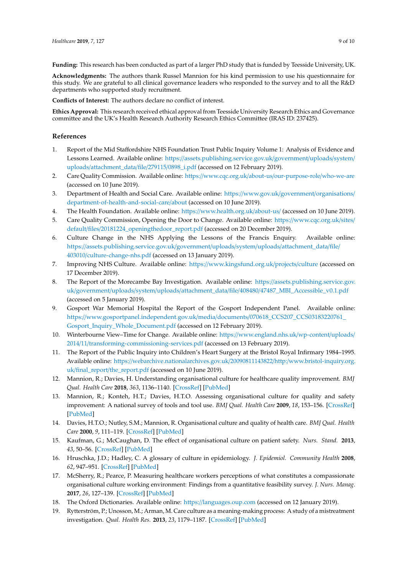**Funding:** This research has been conducted as part of a larger PhD study that is funded by Teesside University, UK.

**Acknowledgments:** The authors thank Russel Mannion for his kind permission to use his questionnaire for this study. We are grateful to all clinical governance leaders who responded to the survey and to all the R&D departments who supported study recruitment.

**Conflicts of Interest:** The authors declare no conflict of interest.

**Ethics Approval:** This research received ethical approval from Teesside University Research Ethics and Governance committee and the UK's Health Research Authority Research Ethics Committee (IRAS ID: 237425).

## **References**

- <span id="page-8-0"></span>1. Report of the Mid Staffordshire NHS Foundation Trust Public Inquiry Volume 1: Analysis of Evidence and Lessons Learned. Available online: https://[assets.publishing.service.gov.uk](https://assets.publishing.service.gov.uk/government/uploads/system/uploads/attachment_data/file/279115/0898_i.pdf)/government/uploads/system/ uploads/[attachment\\_data](https://assets.publishing.service.gov.uk/government/uploads/system/uploads/attachment_data/file/279115/0898_i.pdf)/file/279115/0898\_i.pdf (accessed on 12 February 2019).
- <span id="page-8-1"></span>2. Care Quality Commission. Available online: https://www.cqc.org.uk/about-us/[our-purpose-role](https://www.cqc.org.uk/about-us/our-purpose-role/who-we-are)/who-we-are (accessed on 10 June 2019).
- <span id="page-8-2"></span>3. Department of Health and Social Care. Available online: https://www.gov.uk/government/[organisations](https://www.gov.uk/government/organisations/department-of-health-and-social-care/about)/ [department-of-health-and-social-care](https://www.gov.uk/government/organisations/department-of-health-and-social-care/about)/about (accessed on 10 June 2019).
- <span id="page-8-3"></span>4. The Health Foundation. Available online: https://[www.health.org.uk](https://www.health.org.uk/about-us/)/about-us/ (accessed on 10 June 2019).
- <span id="page-8-4"></span>5. Care Quality Commission, Opening the Door to Change. Available online: https://[www.cqc.org.uk](https://www.cqc.org.uk/sites/default/files/20181224_openingthedoor_report.pdf)/sites/ default/files/[20181224\\_openingthedoor\\_report.pdf](https://www.cqc.org.uk/sites/default/files/20181224_openingthedoor_report.pdf) (accessed on 20 December 2019).
- 6. Culture Change in the NHS Applying the Lessons of the Francis Enquiry. Available online: https://[assets.publishing.service.gov.uk](https://assets.publishing.service.gov.uk/government/uploads/system/uploads/attachment_data/file/403010/culture-change-nhs.pdf)/government/uploads/system/uploads/attachment\_data/file/ 403010/[culture-change-nhs.pdf](https://assets.publishing.service.gov.uk/government/uploads/system/uploads/attachment_data/file/403010/culture-change-nhs.pdf) (accessed on 13 January 2019).
- <span id="page-8-5"></span>7. Improving NHS Culture. Available online: https://[www.kingsfund.org.uk](https://www.kingsfund.org.uk/projects/culture)/projects/culture (accessed on 17 December 2019).
- <span id="page-8-6"></span>8. The Report of the Morecambe Bay Investigation. Available online: https://[assets.publishing.service.gov.](https://assets.publishing.service.gov.uk/government/uploads/system/uploads/attachment_data/file/408480/47487_MBI_Accessible_v0.1.pdf) uk/government/uploads/system/uploads/attachment\_data/file/408480/[47487\\_MBI\\_Accessible\\_v0.1.pdf](https://assets.publishing.service.gov.uk/government/uploads/system/uploads/attachment_data/file/408480/47487_MBI_Accessible_v0.1.pdf) (accessed on 5 January 2019).
- <span id="page-8-7"></span>9. Gosport War Memorial Hospital the Report of the Gosport Independent Panel. Available online: https://[www.gosportpanel.independent.gov.uk](https://www.gosportpanel.independent.gov.uk/media/documents/070618_CCS207_CCS03183220761_Gosport_Inquiry_Whole_Document.pdf)/media/documents/070618\_CCS207\_CCS03183220761\_ [Gosport\\_Inquiry\\_Whole\\_Document.pdf](https://www.gosportpanel.independent.gov.uk/media/documents/070618_CCS207_CCS03183220761_Gosport_Inquiry_Whole_Document.pdf) (accessed on 12 February 2019).
- <span id="page-8-8"></span>10. Winterbourne View–Time for Change. Available online: https://[www.england.nhs.uk](https://www.england.nhs.uk/wp-content/uploads/2014/11/transforming-commissioning-services.pdf)/wp-content/uploads/ 2014/11/[transforming-commissioning-services.pdf](https://www.england.nhs.uk/wp-content/uploads/2014/11/transforming-commissioning-services.pdf) (accessed on 13 February 2019).
- <span id="page-8-9"></span>11. The Report of the Public Inquiry into Children's Heart Surgery at the Bristol Royal Infirmary 1984–1995. Available online: https://[webarchive.nationalarchives.gov.uk](https://webarchive.nationalarchives.gov.uk/20090811143822/http:/www.bristol-inquiry.org.uk/final_report/the_report.pdf)/20090811143822/http:/www.bristol-inquiry.org. uk/final\_report/[the\\_report.pdf](https://webarchive.nationalarchives.gov.uk/20090811143822/http:/www.bristol-inquiry.org.uk/final_report/the_report.pdf) (accessed on 10 June 2019).
- <span id="page-8-10"></span>12. Mannion, R.; Davies, H. Understanding organisational culture for healthcare quality improvement. *BMJ Qual. Health Care* **2018**, *363*, 1136–1140. [\[CrossRef\]](http://dx.doi.org/10.1136/bmj.k4907) [\[PubMed\]](http://www.ncbi.nlm.nih.gov/pubmed/30487286)
- <span id="page-8-11"></span>13. Mannion, R.; Konteh, H.T.; Davies, H.T.O. Assessing organisational culture for quality and safety improvement: A national survey of tools and tool use. *BMJ Qual. Health Care* **2009**, *18*, 153–156. [\[CrossRef\]](http://dx.doi.org/10.1136/qshc.2007.024075) [\[PubMed\]](http://www.ncbi.nlm.nih.gov/pubmed/19342532)
- <span id="page-8-12"></span>14. Davies, H.T.O.; Nutley, S.M.; Mannion, R. Organisational culture and quality of health care. *BMJ Qual. Health Care* **2000**, *9*, 111–119. [\[CrossRef\]](http://dx.doi.org/10.1136/qhc.9.2.111) [\[PubMed\]](http://www.ncbi.nlm.nih.gov/pubmed/11067249)
- 15. Kaufman, G.; McCaughan, D. The effect of organisational culture on patient safety. *Nurs. Stand.* **2013**, *43*, 50–56. [\[CrossRef\]](http://dx.doi.org/10.7748/ns2013.06.27.43.50.e7280) [\[PubMed\]](http://www.ncbi.nlm.nih.gov/pubmed/23987721)
- 16. Hruschka, J.D.; Hadley, C. A glossary of culture in epidemiology. *J. Epidemiol. Community Health* **2008**, *62*, 947–951. [\[CrossRef\]](http://dx.doi.org/10.1136/jech.2008.076729) [\[PubMed\]](http://www.ncbi.nlm.nih.gov/pubmed/18854496)
- <span id="page-8-13"></span>17. McSherry, R.; Pearce, P. Measuring healthcare workers perceptions of what constitutes a compassionate organisational culture working environment: Findings from a quantitative feasibility survey. *J. Nurs. Manag.* **2017**, *26*, 127–139. [\[CrossRef\]](http://dx.doi.org/10.1111/jonm.12517) [\[PubMed\]](http://www.ncbi.nlm.nih.gov/pubmed/29250865)
- <span id="page-8-14"></span>18. The Oxford Dictionaries. Available online: https://[languages.oup.com](https://languages.oup.com) (accessed on 12 January 2019).
- <span id="page-8-15"></span>19. Rytterström, P.; Unosson, M.; Arman, M. Care culture as a meaning-making process: A study of a mistreatment investigation. *Qual. Health Res.* **2013**, *23*, 1179–1187. [\[CrossRef\]](http://dx.doi.org/10.1177/1049732312470760) [\[PubMed\]](http://www.ncbi.nlm.nih.gov/pubmed/23264536)